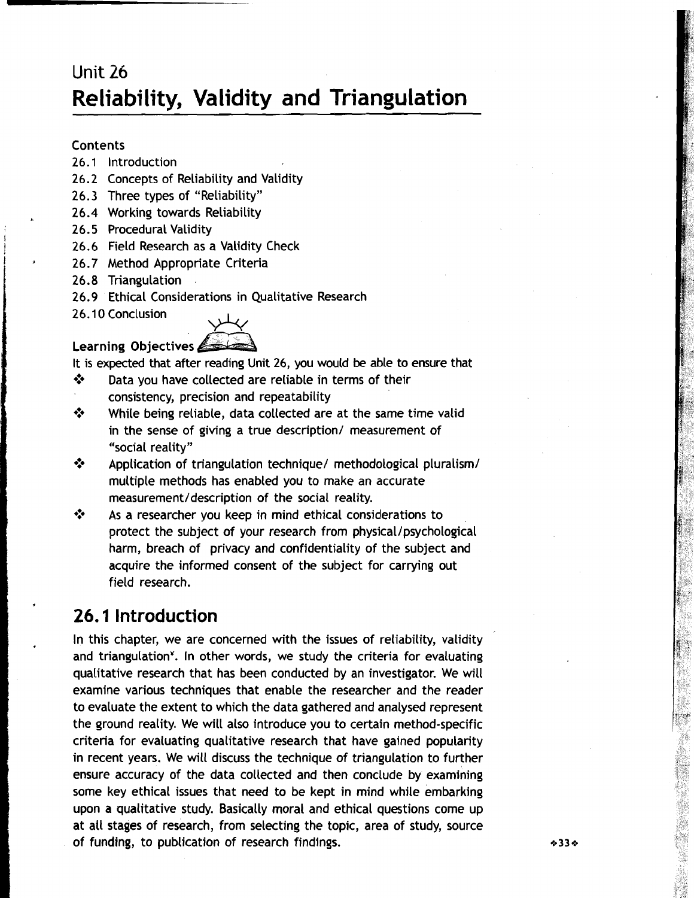# Unit **26 Reliability, Validity and Triangulation**

### **Contents**

- **26.1** lntroduction
- **26.2** Concepts of Reliability and Validity
- **26.3** Three types of "Reliability"
- **26.4** Working towards Reliability **<sup>L</sup>**
- **26.5** Procedural Validity
- <sup>J</sup>**26.6** Field Research as a Validity Check
- **26.7** Method Appropriate Criteria
- **26.8** Triangulation ,
- **26.9** Ethical Considerations in Qualitative Research
- **26.1 0** Conclusion



It is expected that after reading Unit **26,** you would **be** able to ensure that

- ◆ Data you have collected are reliable in terms of their consistency, precision and repeatability
- $\Diamond$  While being reliable, data collected are at the same time valid in the sense of giving a true description/ measurement of "social reality"
- **EXECUTE:** Application of triangulation technique/ methodological pluralism/ multiple methods has enabled you to make an accurate measurement/description of the social reality.
- $\Diamond$  As a researcher you keep in mind ethical considerations to protect the subject of your research from physical/psychological harm, breach of privacy and confidentiality of the subject and acquire the informed consent of the subject for carrying out field research.

## **26. I Introduction**

In this chapter, we are concerned with the issues of reliability, validity and triangulation<sup>y</sup>. In other words, we study the criteria for evaluating qualitative research that has been conducted by an investigator. We will examine various techniques that enable the researcher and the reader to evaluate the extent to which the data gathered and analysed represent the ground reality. We will also introduce you to certain method-specific criteria for evaluating qualitative research that have gained popularity in recent years. We will discuss the technique of triangulation to further ensure accuracy of the data collected and then conclude by examining some key ethical issues that need to be kept in mind while embarking upon a qualitative study. Basically moral and ethical questions come up at all stages of research, from selecting the topic, area of study, source of funding, to publication of research findings.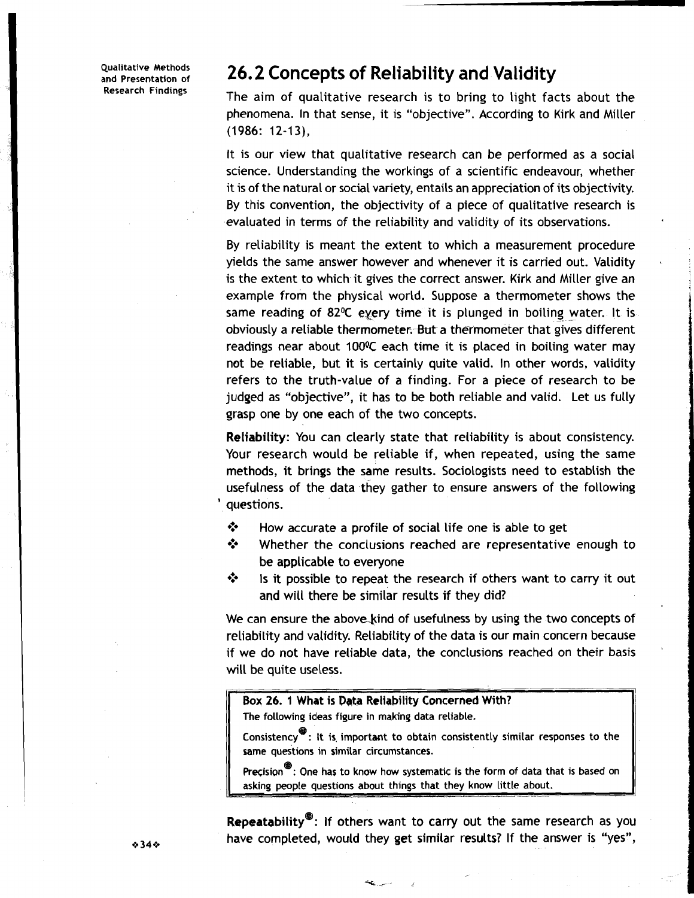# Qualitative Methods **26.2 Concepts of Reliability and Validity**<br>
Research Findings **26.2** Concepts of Reliability and Validity

The aim of qualitative research is to bring to light facts about the phenomena. In that sense, it is "objective". According to Kirk and Miller (1986: 12-13),

It is our view that qualitative research can be performed as a social science. Understanding the workings of a scientific endeavour, whether it is of the natural or social variety, entails an appreciation of its objectivity. By this convention, the objectivity of a piece of qualitative research is evaluated in terms of the reliability and validity of its observations.

By reliability is meant the extent to which a measurement procedure yields the same answer however and whenever it is carried out. Validity is the extent to which it gives the correct answer. Kirk and Miller give an example from the physical world. Suppose a thermometer shows the same reading of 82 $\degree$ C eyery time it is plunged in boiling water. It is obviously a reliable thermometer. But a thermometer that gives different readings near about 100<sup>o</sup>C each time it is placed in boiling water may not be reliable, but it is certainly quite valid. In other words, validity refers to the truth-value of a finding. For a piece of research to be judged as "objective", it has to be both reliable and valid. Let us fully grasp one by one each of the two concepts.

Reliability: You can clearly state that reliability is about consistency. Your research would be reliable if, when repeated, using the same methods, it brings the same results. Sociologists need to establish the usefulness of the data they gather to ensure answers of the following ' questions.

- **\*3** How accurate a profile of social life one is able to get
- $\lozenge$  Whether the conclusions reached are representative enough to be applicable to everyone
- **\*** Is it possible to repeat the research if others want to carry it out and will there be similar results if they did?

We can ensure the above kind of usefulness by using the two concepts of reliability and validity. Reliability of the data is our main concern because reliability and validity. Reliability of the data is our mail concern because<br>if we do not have reliable data, the conclusions reached on their basis will be quite useless. using the two concepts of<br>our main concern because<br>ns reached on their basis<br>ith?

### **Box 26. 1 What** is **Pgta** Reliability Concerned With?

**The following ideas figure in making data reliable.** 

**consistency**: It is important to obtain consistently similar responses to the **same questions in similar circumstances.** 

Precision<sup>®</sup>: One has to know how systematic is the form of data that is based on **asking people questions about things that they know little about.** 

**Repeatability<sup>®</sup>:** If others want to carry out the same research as you have completed, would they get similar results? If the answer is "yes",

-L **T** I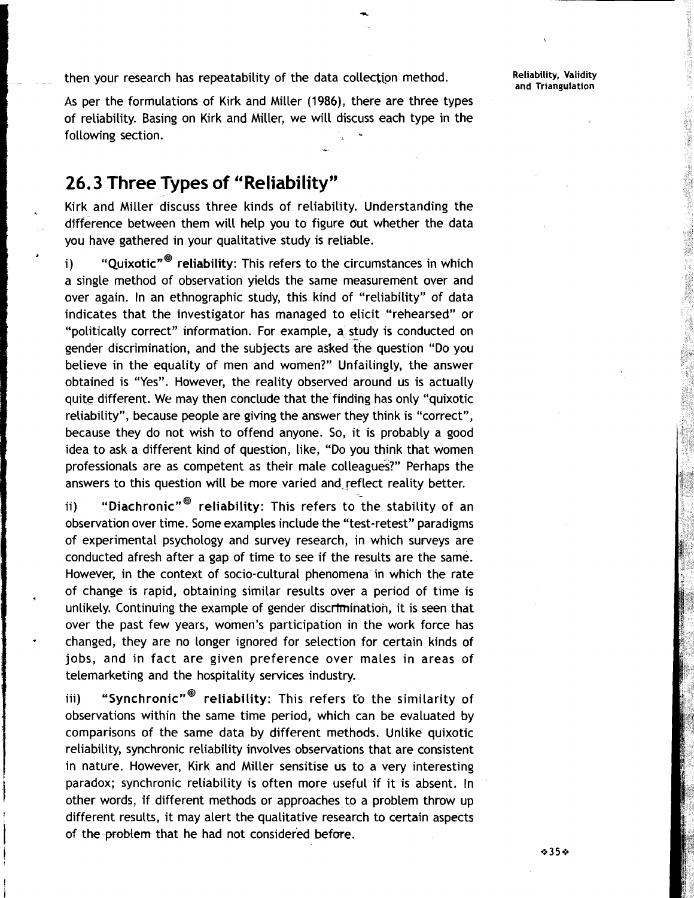then your research has repeatability of the data collection method. **Reliability, Validity** 

As per the formulations of Kirk and Miller **(1986),** there are three types of reliability. Basing on Kirk and Miller, we will discuss each type in the following section. -

## **26. 3 Three Types of "Reliability"**

Kirk and Miller discuss three kinds of reliability. Understanding the difference between them will help you to figure out whether the data you have gathered in your qualitative study is reliable.

i) " $"Quixotic"$ " reliability: This refers to the circumstances in which a single method of observation yields the same measurement over and over again. In an ethnographic study, this kind of "reliability" of data indicates that the investigator has managed to elicit "rehearsed" or "politically correct" information. For example, a study is conducted on gender discrimination, and the subjects are asked ihe question "Do you believe in the equality of men and women?" Unfailingly, the answer obtained is "Yes". However, the reality observed around us is actually quite different. **We** may then conclude that the finding has only "quixotic reliability", because people are giving the answer they think is "correct", because they do not wish to offend anyone. So, it is probably a good idea to ask a different kind of question, like, "Do you think that women professionals are as competent as their male colleagues?" Perhaps the answers to this question will be more varied and reflect reality better.

ii) "Diachronic"<sup>®</sup> reliability: This refers to the stability of an observation over time. Some examples include the "test-retest" paradigms of experimental psychology and survey research, in which surveys are conducted afresh after a gap of time to see if the results are the same. However, in the context of socio-cultural phenomena in which the rate of change is rapid, obtaining similar results over a period of time is unlikely. Continuing the example of gender discrimination, it is seen that over the past few years, women's participation in the work force has changed, they are no longer ignored for selection for certain kinds of jobs, and in fact are given preference over males in areas of telemarketing and the hospitality services industry.

iii) "Synchronic"<sup>®</sup> reliability: This refers to the similarity of observations within the same time period, which can be evaluated by comparisons of the same data by different methods. Unlike quixotic reliability, synchronic reliability involves observations that are consistent in nature. However, Kirk and Miller sensitise us to a very interesting paradox; synchronic reliability is often more useful if it is absent. In other words, if different methods or approaches to a problem throw up different results, it may alert the qualitative research to certain aspects of the problem that he had not considered before.

**and Triangulation**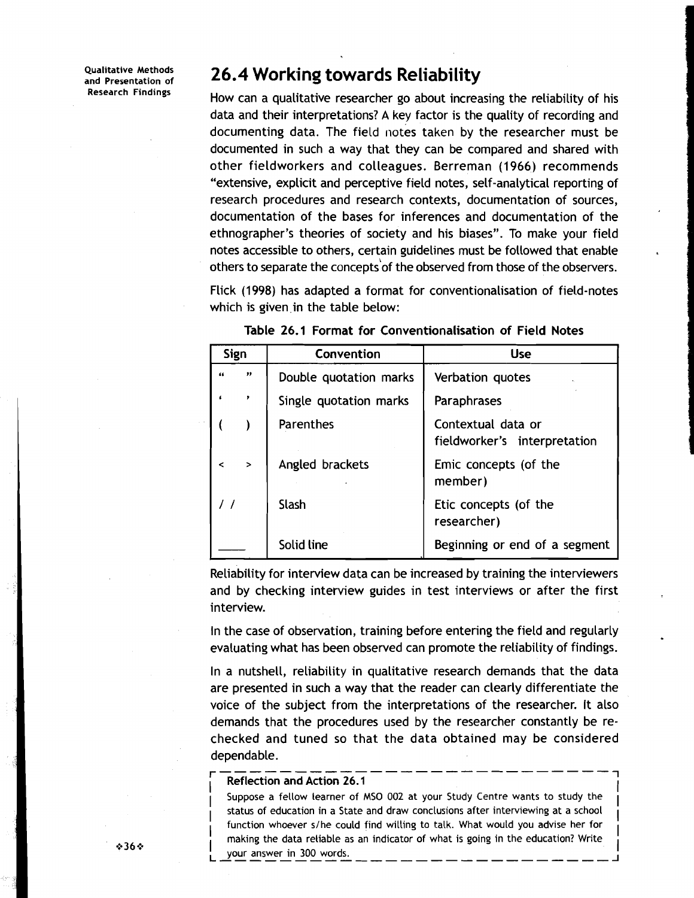**Qualitative Methods and Presentation of Research Findings** 

## **26.4 Workinq towards Reliability**

How can a qualitative researcher go about increasing the reliability of his data and their interpretations? A key factor is the quality of recording and documenting data. The field notes taken by the researcher must be documented in such a way that they can be compared and shared with other fieldworkers and colleagues. Berreman (1966) recommends "extensive, explicit and perceptive field notes, self-analytical reporting of research procedures and research contexts, documentation of sources, documentation of the bases for inferences and documentation of the ethnographer's theories of society and his biases". To make your field notes accessible to others, certain guidelines must be followed that enable others to separate the concepts of the observed from those of the observers.

Flick (1998) has adapted a format for conventionalisation of field-notes which is given.in the table below:

| Sign       |               | Convention             | <b>Use</b>                                         |  |  |  |
|------------|---------------|------------------------|----------------------------------------------------|--|--|--|
| 66         | ,,            | Double quotation marks | Verbation quotes                                   |  |  |  |
|            | ,             | Single quotation marks | Paraphrases                                        |  |  |  |
|            |               | Parenthes              | Contextual data or<br>fieldworker's interpretation |  |  |  |
| $\epsilon$ | $\rightarrow$ | Angled brackets        | Emic concepts (of the<br>member)                   |  |  |  |
|            |               | Slash                  | Etic concepts (of the<br>researcher)               |  |  |  |
|            |               | Solid line             | Beginning or end of a segment                      |  |  |  |

|  |  |  |  | Table 26.1 Format for Conventionalisation of Field Notes |  |  |  |
|--|--|--|--|----------------------------------------------------------|--|--|--|
|--|--|--|--|----------------------------------------------------------|--|--|--|

Reliability for interview data can be increased by training the interviewers and by checking interview guides in test interviews or after the first interview.

In the case of observation, training before entering the field and regularly evaluating what has been observed can promote the reliability of findings.

In a nutshell, reliability in qualitative research demands that the data are presented in such a way that the reader can clearly differentiate the voice of the subject from the interpretations of the researcher. It also demands that the procedures used by the researcher constantly be rechecked and tuned so that the data obtained may be considered dependable. r-------------------------- **<sup>1</sup>**

### I **Reflection and Action 26.1**

Suppose a fellow learner of MSO 002 at your Study Centre wants to study the <sup>I</sup>**status of education in a State and draw conclusions after interviewing at a school**  function whoever s/he could find willing to talk. What would you advise her for I indiction whoever some codid find widing to take. What would you advise her for  $\begin{bmatrix} 1 \end{bmatrix}$ I making the data retiable as an indicator of what is going in the education. When<br>I your answer in 300 words. your answer in 300 words.

I

I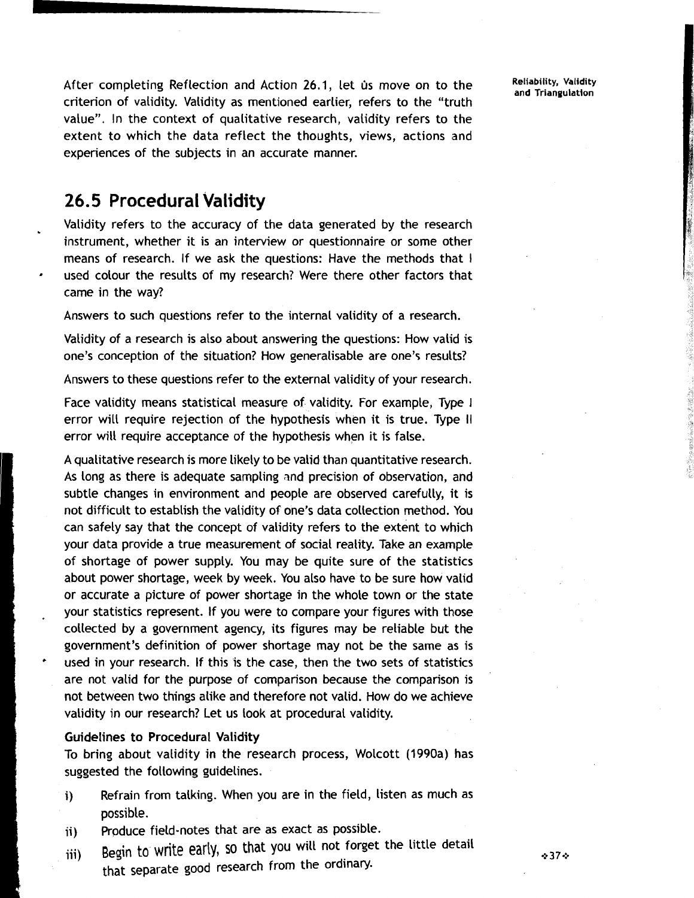After completing Reflection and Action 26.1, let us move on to the criterion of validity. Validity as mentioned earlier, refers to the "truth value". In the context of qualitative research, validity refers to the extent to which the data reflect the thoughts, views, actions and experiences of the subjects in an accurate manner.

## **26.5 Procedural Validity**

Validity refers to the accuracy of the data generated by the research instrument, whether it is an interview or questionnaire or some other means of research. If we ask the questions: Have the methods that I used colour the results of my research? Were there other factors that came in the way?

Answers to such questions refer to the internal validity of a research.

Validity of a research is also about answering the questions: How valid is one's conception of the situation? How generalisable are one's results?

Answers to these questions refer to the external validity of your research.

Face validity means statistical measure of validity. For example, Type 1 error will require rejection of the hypothesis when it is true. Type II error will require acceptance of the hypothesis when it is false.

A qualitative research is more likely to be valid than quantitative research. As long as there is adequate sampling and precision of observation, and subtle changes in environment and people are observed carefully, it is not difficult to establish the validity of one's data collection method. You can safely say that the concept of validity refers to the extent to which your data provide a true measurement of social reality. Take an example of shortage of power supply. You may be quite sure of the statistics about power shortage, week by week. You also have to be sure how valid or accurate a picture of power shortage in the whole town or the state your statistics represent. If you were to compare your figures with those collected by a government agency, its figures may be reliable but the government's definition of power shortage may not be the same as is used in your research. If this is the case, then the two sets of statistics are not valid for the purpose of comparison because the comparison is not between two things alike and therefore not valid. How do we achieve validity in our research? Let us look at procedural validity.

### Guidelines to Procedural Validity

To bring about validity in the research process, Wolcott (1990a) has suggested the following guidelines.

- i) Refrain from talking. When you are in the field, listen as much as possible.<br>ii) Produce
- Produce field-notes that are as exact as possible.
- i ' $\frac{1}{2}$ '  $\frac{1}{2}$ iii) **Begin** to write early, SO that **you** will not forget the little detail that separate good research from the ordinary.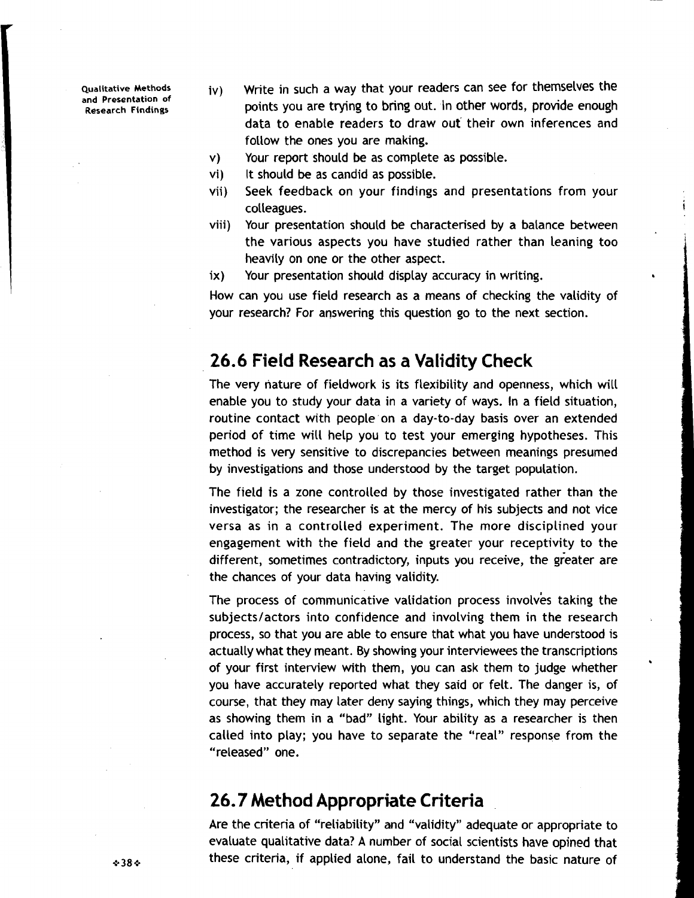**and Presentation of** 

- **Qualitative Methods** iv) write in such a way that your readers can see for themselves the points you are trying to bring out. In other words, provide enough data to enable readers to draw out their own inferences and follow the ones you are making.
	- v) Your report should be as complete as possible.
	- vi) It should be as candid as possible.
	- vii) Seek feedback on your findings and presentations from your colleagues. In the collection of the collection of the collection of the collection of the collection of the collection of the collection of the collection of the collection of the collection of the collection of the colle
	- viii) Your presentation should be characterised by a balance between the various aspects you have studied rather than leaning too heavily on one or the other aspect.
	-

ix) Your presentation should display accuracy in writing.<br>How can you use field research as a means of checking the validity of your research? For answering this question go to the next section.

## **26.6 Field Research as a Validity Check**

The very nature of fieldwork is its flexibility and openness, which will enable you to study your data in a variety of ways. In a field situation, routine contact with people on a day-to-day basis over an extended period of time will help you to test your emerging hypotheses. This method is very sensitive to discrepancies between meanings presumed by investigations and those understood by the target population.

The field is a zone controlled by those investigated rather than the investigator; the researcher is at the mercy of his subjects and not vice versa as in a controlled experiment. The more disciplined your engagement with the field and the greater your receptivity to the different, sometimes contradictory, inputs you receive, the greater are the chances of your data having validity.

The process of communicative validation process involves taking the subjects/actors into confidence and involving them in the research process, so that you are able to ensure that what you have understood is actually what they meant. By showing your interviewees the transcriptions of your first interview with them, you can ask them to judge whether you have accurately reported what they said or felt. The danger is, of course, that they may later deny saying things, which they may perceive as showing them in a "bad" light. Your ability as a researcher is then called into play; you have to separate the "real" response from the "released" one.

## **26.7 Method Appropriate Criteria**

Are the criteria of "reliability" and "validity" adequate or appropriate to evaluate qualitative data? A number of social scientists have opined that \*38 \* **13 .: these criteria, if applied alone, fail to understand the basic nature of**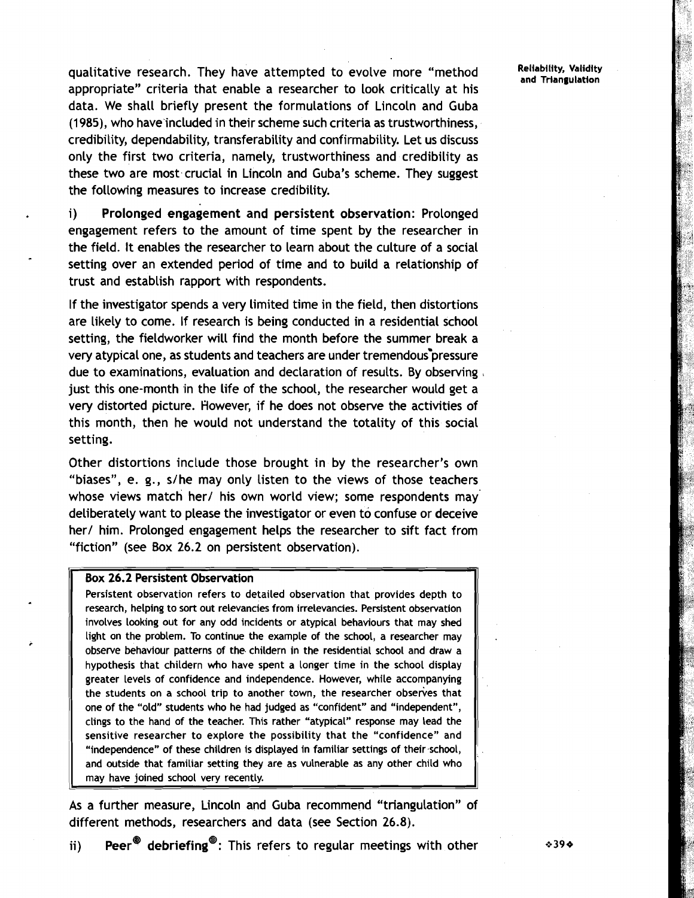qualitative research. They have attempted to evolve more "method **Reliability, Validity** appropriate" criteria that enable a researcher to look critically at his data. We shall briefly present the formulations of Lincoln and Guba (1985), who have included in their scheme such criteria as trustworthiness, credibility, dependability, transferability and confirmability. Let us discuss only the first two criteria, namely, trustworthiness and credibility as these two are most crucial in Lincoln and Guba's scheme. They suggest the following measures to increase credibility.

i) Prolonged engagement and persistent observation: Prolonged engagement refers to the amount of time spent by the researcher in the field. It enables the researcher to learn about the culture of a social setting over an extended period of time and to build a relationship of trust and establish rapport with respondents.

If the investigator spends a very limited time in the field, then distortions are likely to come. If research is being conducted in a residential school setting, the fieldworker will find the month before the summer break a very atypical one, as students and teachers are under tremendous pressure due to examinations, evaluation and declaration of results. By observing , just this one-month in the life of the school, the researcher would get a very distorted picture. However, if he does not observe the activities of this month, then he would not understand the totality of this social setting.

Other distortions include those brought in by the researcher's own "biases", e. g., s/he may only listen to the views of those teachers whose views match her/ his own world view; some respondents may deliberately want to please the investigator or even to confuse or deceive her/ him. Prolonged engagement helps the researcher to sift fact from "fiction" (see Box 26.2 on persistent observation).

Box 26.2 Persistent Observation<br>Persistent observation refers to detailed observation that provides depth to research, helping to sort out relevancies from irrelevancies. Persistent observation involves looking out for any odd incidents or atypical behaviours that may shed light on the problem. To continue the example of the school, a researcher may observe behaviour patterns of the childern in the residential school and draw a hypothesis that childern who have spent a longer time in the school display greater levels of confidence and independence. However, while accompanying the students on a school trip to another town, the researcher observes that one of the "old" students who he had judged as "confident" and "independent", clings to the hand of the teacher. This rather "atypical" response may lead the sensitive researcher to explore the possibility that the "confidence" and "independence" of these children is displayed in familiar settings of their school, and outside that familiar setting they are as vulnerable as any other child who may have joined school very recently.

As a further measure, Lincoln and Guba recommend "triangulation" of different methods, researchers and data (see Section 26.8).

ii) Peer<sup>®</sup> debriefing<sup>®</sup>: This refers to regular meetings with other  $\cdot$   $\cdot$  39 $\cdot$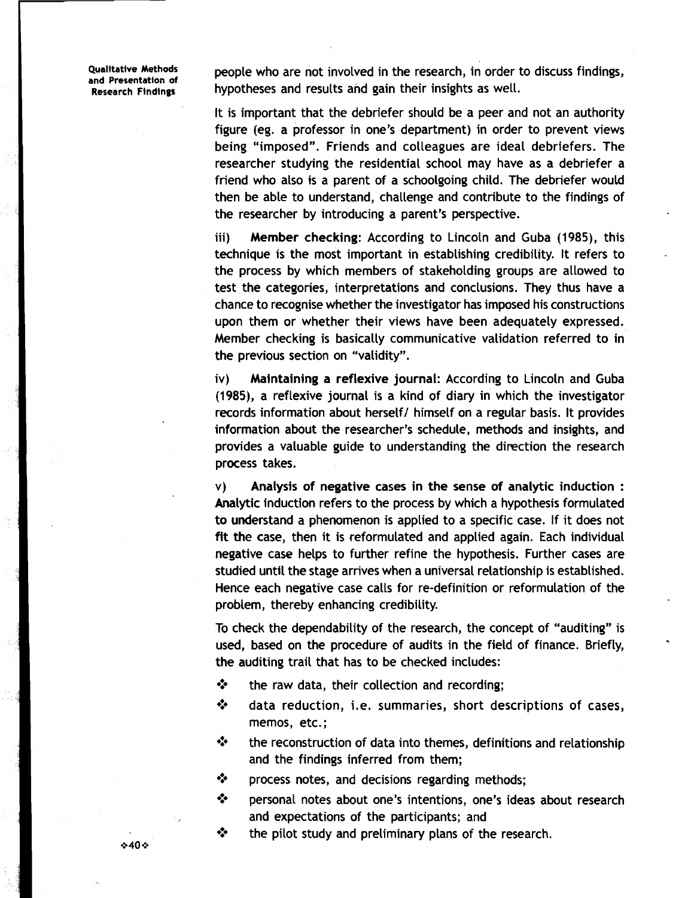**Qualitative Methods** 

Qualitative Methods and people who are not involved in the research, in order to discuss findings,<br>and Presentation of and proportheses and results and gain their insights as well. **Research Findlngs** hypotheses and results and gain their insights as well.

> It is important that the debriefer should be a peer and not an authority figure (eg. a professor in one's department) in order to prevent views being "imposed". Friends and colleagues are ideal debriefers. The researcher studying the residential school may have as a debriefer a friend who also is a parent of a schoolgoing child. The debriefer would then be able to understand, challenge and contribute to the findings of the researcher by introducing a parent's perspective.

> iii) Member checking: According to Lincoln and Guba (1985), this technique is the most important in establishing credibility. It refers to the process by which members of stakeholding groups are allowed to test the categories, interpretations and conclusions. They thus have a chance to recognise whether the investigator has imposed his constructions upon them or whether their views have been adequately expressed. Member checking is basically communicative validation referred to in the previous section on "validity".

> iv) Maintaining a reflexive journal: According to Lincoln and Guba (1985), a reflexive journal is a kind of diary in which the investigator records information about herself/ himself on a regular basis. It provides information about the researcher's schedule, methods and insights, and provides a valuable guide to understanding the direction the research process takes.

> v) Analysis of negative cases in the sense of analytic induction : Analytic induction refers to the process by which a hypothesis formulated to understand a phenomenon is applied to a specific case. If it does not fit the case, then it is reformulated and applied again. Each individual negative case helps to further refine the hypothesis. Further cases are studied until the stage arrives when a universal relationship is established. Hence each negative case calls for re-definition or reformulation of the problem, thereby enhancing credibility.

> To check the dependability of the research, the concept of "auditing" is used, based on the procedure of audits in the field of finance. Briefly, the auditing trail that has to be checked includes:

- **S** the raw data, their collection and recording;
- **EXECUTE:** data reduction, i.e. summaries, short descriptions of cases, memos, etc.;
- $\cdot \cdot$  the reconstruction of data into themes, definitions and relationship and the findings inferred from them;
- **EXECUTE:** Process notes, and decisions regarding methods;
- **'3** personal notes about one's intentions, one's ideas about research and expectations of the participants; and
- \*\* the pilot study and preliminary plans of the research.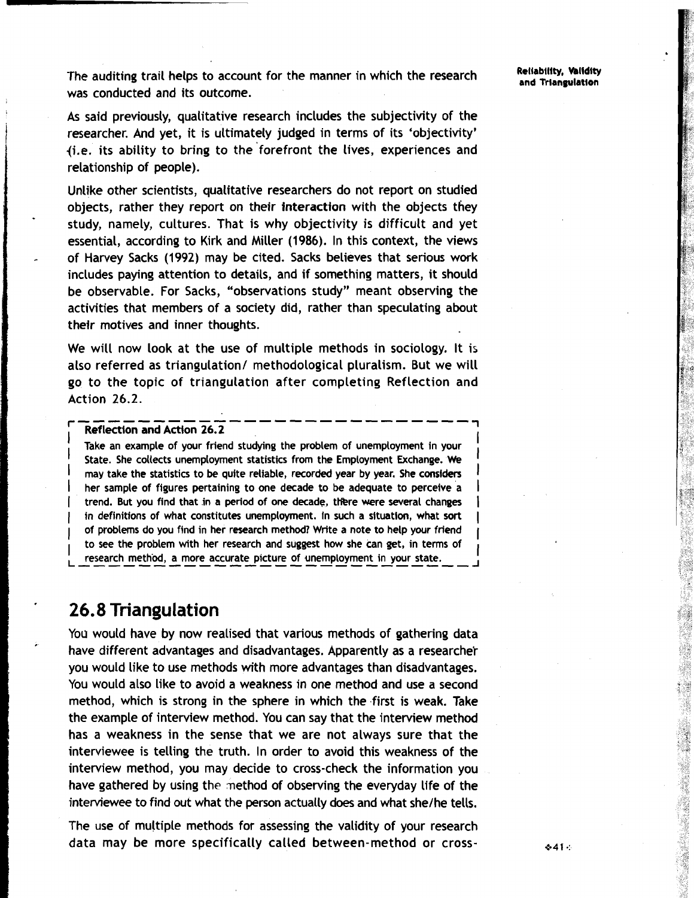The auditing trail helps to account for the manner in which the research **Reliability, Validity** was conducted and its outcome.

As said previously, qualitative research includes the subjectivity of the researcher, And yet, it is ultimately judged in terms of its 'objectivity' {i.e. its ability to bring to the 'forefront the lives, experiences and relationship of people).

Unlike other scientists, qualitative researchers do not report on studied objects, rather they report on their interaction with the objects they study, namely, cultures. That is why objectivity is difficult and yet essential, according to Kirk and Miller (1986). In this context, the views of Harvey Sacks (1992) may be cited. Sacks believes that serious work includes paying attention to details, and if something matters, it should be observable. For Sacks, "observations study" meant observing the activities that members of a society did, rather than speculating about their motives and inner thoughts.

We will now look at the use of multiple methods in sociology. It is also referred as triangulation/ methodological pluralism. But we will go to the topic of triangulation after completing Reflection and Action 26.2. ..........................

### **Reflection and Action 26.2**

Take an example of your friend studying the problem of unemployment in your State. She collects unemployment statistics from the Employment Exchange. We may take the statistics to be quite reliable, recorded year by year. She considers her sample of figures pertaining to one decade to be adequate to perceive a trend. But you find that in a period of one decade, there were several changes in definitions of what constitutes unemployment. In such a situation, what sort of problems do you find in her research method? Write a note to help your friend to see the problem with her research and suggest how she can get, in terms of research method, a more accurate picture of unemployment in your state.

## ' **26.8 Triangulation**

You would have by now realised that various methods of gathering data have different advantages and disadvantages. Apparently as a researcher you would like to use methods with more advantages than disadvantages. You would also like to avoid a weakness in one method and use a second method, which is strong in the sphere in which the first is weak. Take the example of interview method. You can say that the interview method has a weakness in the sense that we are not always sure that the interviewee is telling the truth. In order to avoid this weakness of the interview method, you may decide to cross-check the information you have gathered by using the method of observing the everyday life of the interviewee to find out what the person actually does and what she/he tells.

The use of multiple methods for assessing the validity of your research data may be more specifically called between-method or cross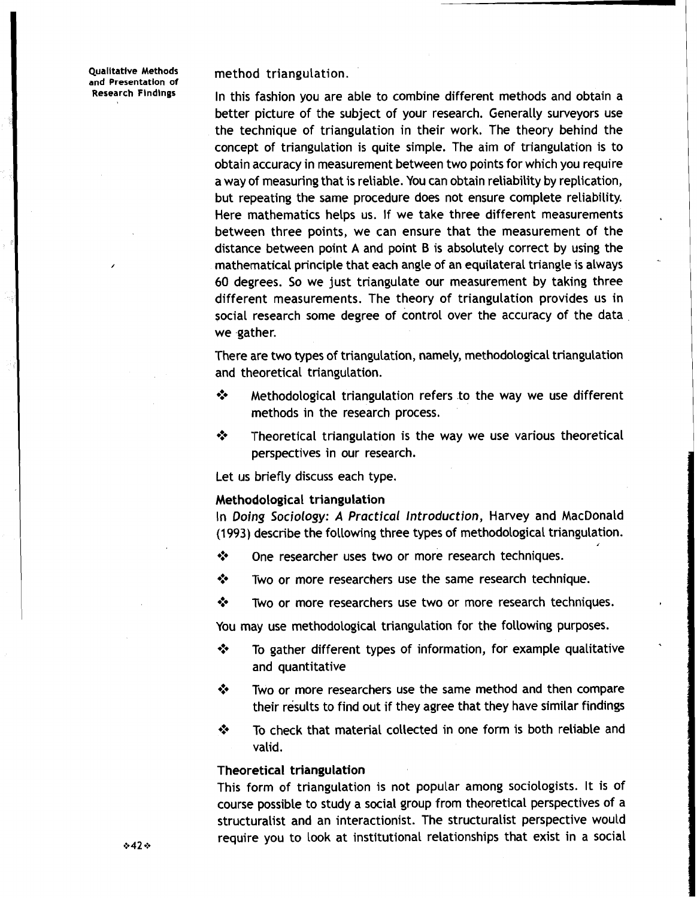**Qualitative Methods**<br>and Presentation of

method triangulation.

**Research Findings** In this fashion you are able to combine different methods and obtain a better picture of the subject of your research. Generally surveyors use the technique of triangulation in their work. The theory behind the concept of triangulation is quite simple. The aim of triangulation is to obtain accuracy in measurement between two points for which you require a way of measuring that is reliable. You can obtain reliability by replication, but repeating the same procedure does not ensure complete reliability. Here mathematics helps us. If we take three different measurements between three points, we can ensure that the measurement of the distance between point  $A$  and point  $B$  is absolutely correct by using the mathematical principle that each angle of an equilateral triangle is always 60 degrees. So we just triangulate our measurement by taking three different measurements. The theory of triangulation provides us in social research some degree of control over the accuracy of the data we gather.

> 'There are two types of triangulation, namely, methodological triangulation and theoretical triangulation.

- **EXECUTE:** Methodological triangulation refers to the way we use different methods in the research process.
- $\cdot$  Theoretical triangulation is the way we use various theoretical perspectives in our research.

Let us briefly discuss each type.

### Methodological triangulation

In Doing Sociology: A Practical Introduction, Harvey and MacDonald (1993) describe the following three types of methodological triangulation.<br> **\*** One researcher uses two or more research techniques.

- One researcher uses two or more research techniques.
- \* Two or more researchers use the same research technique.
- Two or more researchers use two or more research techniques.

You may use methodological triangulation for the following purposes.

- **<sup>** $\diamond$ **</sup>** To gather different types of information, for example qualitative and quantitative
- Two or more researchers use the same method and then compare ❖ their results to find out if they agree that they have similar findings
- $\div$  To check that material collected in one form is both reliable and valid.

### Theoretical triangulation

This form of triangulation is not popular among sociologists. It is of course possible to study a social group from theoretical perspectives of a structuralist and an interactionist. The structuralist perspective would require you to look at institutional relationships that exist in a social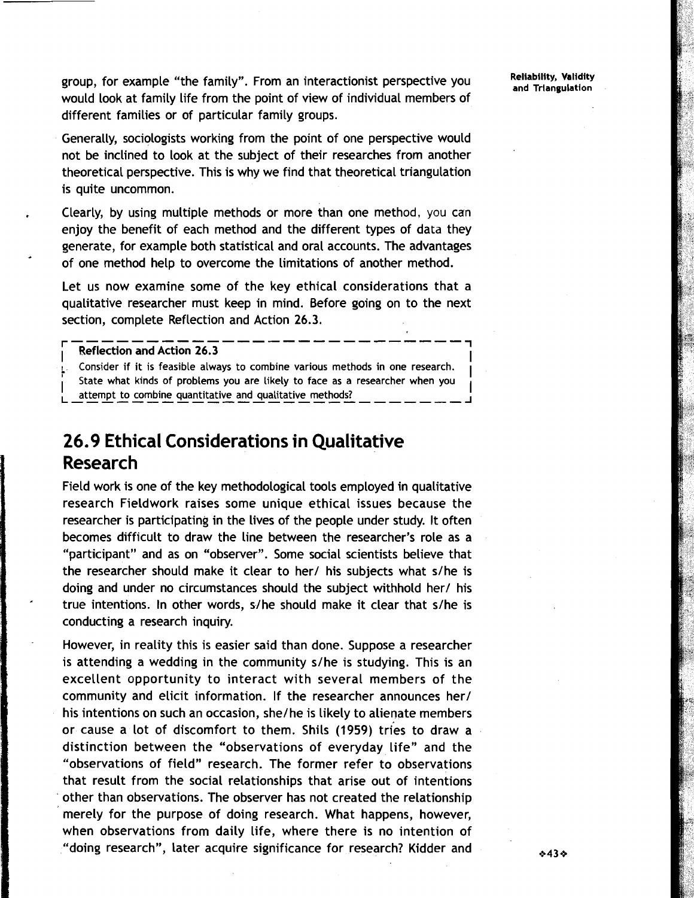group, for example "the family". From an interactionist perspective you would look at family life from the point of view of individual members of different families or of particular family groups.

I

I

Generally, sociologists working from the point of one perspective would not be inclined to look at the subject of their researches from another theoretical perspective. This is why we find that theoretical triangulation is quite uncommon.

Clearly, by using multiple methods or more than one method, you can enjoy the benefit of each method and the different types of data they generate, for example both statistical and oral accounts. The advantages of one method help to overcome the limitations of another method.

Let us now examine some of the key ethical considerations that a qualitative researcher must keep in mind. Before going on to the next section, complete Reflection and Action 26.3.

### r-------------------------- **<sup>1</sup>** I **Reflection and Action 26.3**

**Consider if it is feasible always to combine various methods in one research. t State what kinds of problems you are likely to face as a researcher when you**  I **attempt to combine quantitative and qualitative methods?** I **L--------------------------J** 

## **26.9 Ethical Considerations in Qualitative Research**

Field work is one of the key methodological tools employed in qualitative research Fieldwork raises some unique ethical issues because the researcher is participating in the lives of the people under study. It often becomes difficult to draw the line between the researcher's role as a "participant" and as on "observer". Some social scientists believe that the researcher should make it clear to her/ his subjects what  $s/he$  is doing and under no circumstances should the subject withhold her/ his true intentions. In other words, s/he should make it clear that s/he is conducting a research inquiry.

However, in reality this is easier said than done. Suppose a researcher is attending a wedding in the community s/he is studying. This is an excellent opportunity to interact with several members of the community and elicit information. If the researcher announces her/ his intentions on such an occasion, she/he is likely to alienate members or cause a lot of discomfort to them. Shils (1959) tries to draw a distinction between the "observations of everyday life" and the "observations of field" research. The former refer to observations that result from the social relationships that arise out of intentions other than observations. 'The observer has not created the relationship merely for the purpose of doing research. What happens, however, when observations from daily life, where there is no intention of "doing research", later acquire significance for research? Kidder and

 $*43*$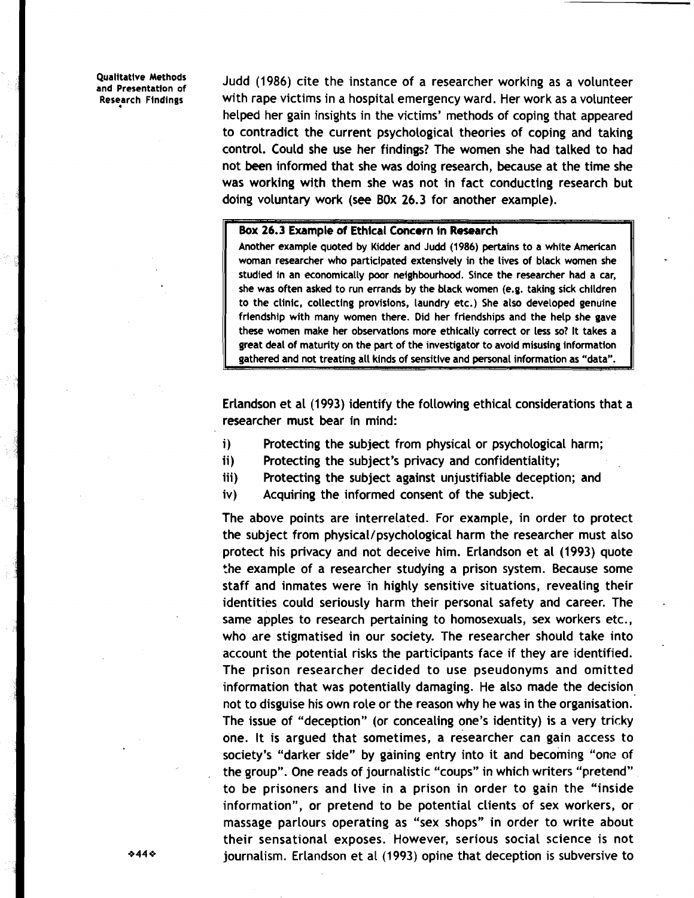**b** 

**and Presentation of** Judd (1986) cite the instance of a researcher working as a volunteer with rape victims in a hospital emergency ward. Her work as a volunteer helped her gain insights in the victims' methods of coping that appeared to contradict the current psychological theories of coping and taking control. Could she use her findings? The women she had talked to had not been informed that she was doing research, because at the time she was working with them she was not in fact conducting research but doing voluntary work (see BOX 26.3 for another example).

### Box 26.3 Example of Ethical Concern in Research

**Another example quoted by Kidder and Judd (1986) pertains to a white American woman researcher who participated extensively in the lives of black women she studied in an economically poor neighbourhood. Since the researcher had a car, she was often asked to run errands by the black women (e.g. taking sick children to the clinic, collecting provisions, laundry etc.) She also developed genulne friendship with many women there. Did her friendships and the help she gave these women make her observations more ethically correct or less so? It takes a great deal of maturity on the part of the investigator to avoid misusing information gathered and not treating all kinds of sensitive and personal information as "data".** 

Erlandson et a1 (1993) identify the following ethical considerations that a researcher must bear in mind:

- i) Protecting the subject from physical or psychological harm;
- ii) Protecting the subject's privacy and confidentiality;
- iii) Protecting the subject against unjustifiable deception; and
- iv) Acquiring the informed consent of the subject.

The above points are interrelated. For example, in order to protect the subject from physical/psychological harm the researcher must also protect his privacy and not deceive him. Erlandson et al (1993) quote the example of a researcher studying a prison system. Because some staff and inmates were in highly sensitive situations, revealing their identities could seriously harm their personal safety and career. The same apples to research pertaining to homosexuals, sex workers etc., who are stigmatised in our society. The researcher should take into account the potential risks the participants face if they are identified. The prison researcher decided to use pseudonyms and omitted information that was potentially damaging. He also made the decision not to disguise his own role or the reason why he was in the organisation. The issue of "deception" (or concealing one's identity) is a very tricky one. It is argued that sometimes, a researcher can gain access to society's "darker side" by gaining entry into it and becoming "one of the group". One reads of journalistic "coups" in which writers "pretend" to be prisoners and live in a prison in order to gain the "inside information", or pretend to be potential clients of sex workers, or massage parlours operating as "sex shops" in order to write about their sensational exposes. However, serious social science is not journalism. Erlandson et al (1993) opine that deception is subversive to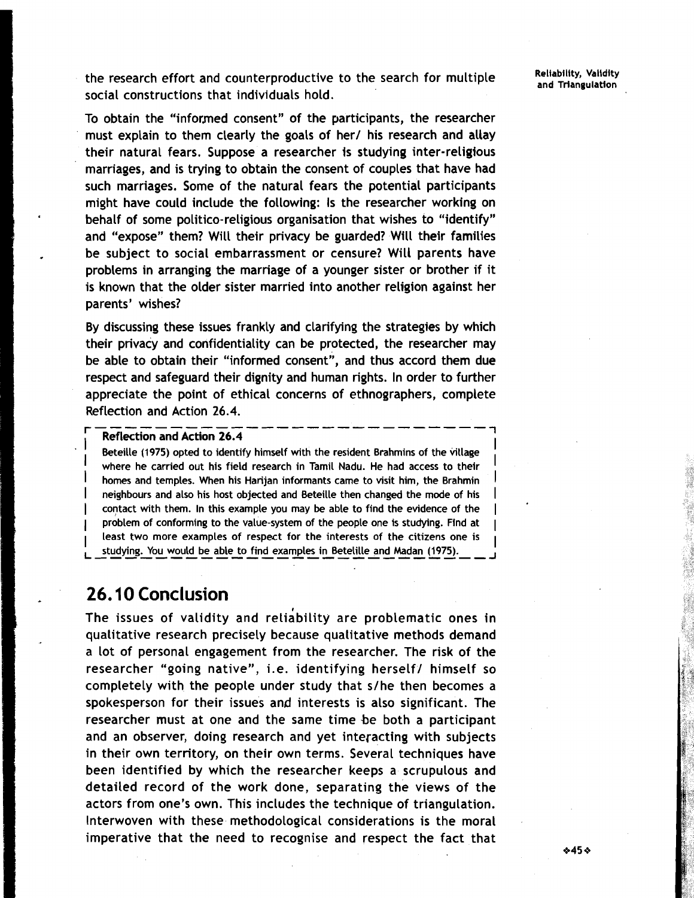the research effort and counterproductive to the search for multiple social constructions that individuals hold.

To obtain the "informed consent" of the participants, the researcher must explain to them clearly the goals of her/ his research and allay their natural fears. Suppose a researcher is studying inter-religious marriages, and is trying to obtain the consent of couples that have had such marriages. Some of the natural fears the potential participants might have could include the following: Is the researcher working on behalf of some politico-religious organisation that wishes to "identify" and "expose" them? Will their privacy be guarded? Will their families be subject to social embarrassment or censure? Will parents have problems in arranging the marriage of a younger sister or brother if it is known that the older sister married into another religion against her parents' wishes?

By discussing these issues frankly and clarifying the strategies by which their privacy and confidentiality can be protected, the researcher may be able to obtain their "informed consent", and thus accord them due respect and safeguard their dignity and human rights. In order to further appreciate the point of ethical concerns of ethnographers, complete Reflection and Action 26.4. ..........................

### **Reflection and Action 26.4 <sup>7</sup>**

Beteille (1975) opted to identify himself with the resident Brahmins of the village where he carried out his field research in Tamil Nadu. He had access to their homes and temples. When his Harijan informants came to visit him, the Brahmin **neighbours and also his host objected and Beteille then changed the mode of his** I contact with them. In this example you may be able to find the evidence of the **problem of conforming to the value-system of the people one is studying. Find at** I **least two more examples of respect for the interests of the citizens one is**  least two more examples of respect for the interests of the citizens one is <br>**--**st<u>udying. You would be able to find examples in Betelille and Madan (1975). \_ \_ \_ \_</u>

## **26.10 Conclusion**

The issues of validity and reliability are problematic ones in qualitative research precisely because qualitative methods demand a lot of personal engagement from the researcher. The risk of the researcher "going native", i.e. identifying herself/ himself so completely with the people under study that s/he then becomes a spokesperson for their issues and interests is also significant. The researcher must at one and the same time be both a participant and an observer, doing research and yet interacting with subjects in their own territory, on their own terms. Several techniques have been identified by which the researcher keeps a scrupulous and detailed record of the work done, separating the views of the actors from one's own. This includes the technique of triangulation. Interwoven with these methodological considerations is the moral imperative that the need to recognise and respect the fact that